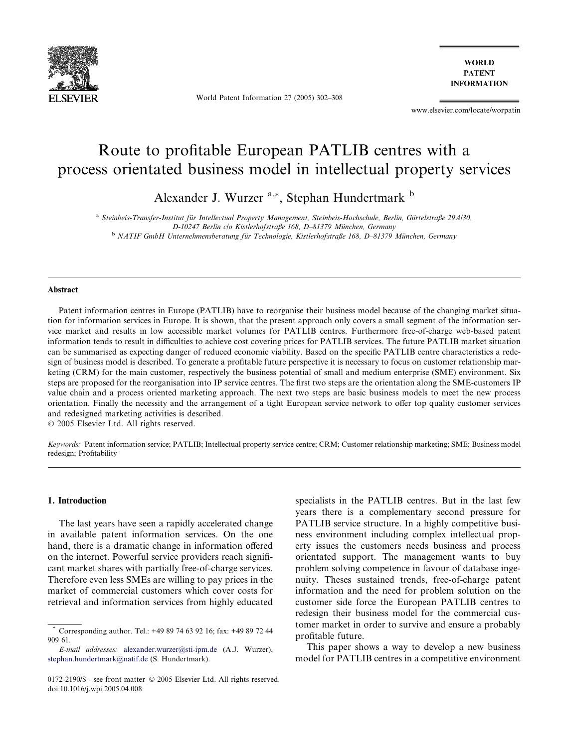

World Patent Information 27 (2005) 302–308

**WORLD PATENT INFORMATION** 

www.elsevier.com/locate/worpatin

## Route to profitable European PATLIB centres with a process orientated business model in intellectual property services

Alexander J. Wurzer<sup>a,\*</sup>, Stephan Hundertmark b

<sup>a</sup> Steinbeis-Transfer-Institut für Intellectual Property Management, Steinbeis-Hochschule, Berlin, Gürtelstraße 29A/30,<br>D-10247 Berlin clo Kistlerhofstraße 168, D-81379 München, Germany

<sup>b</sup> NATIF GmbH Unternehmensberatung für Technologie, Kistlerhofstraße 168, D–81379 München, Germany

#### **Abstract**

Patent information centres in Europe (PATLIB) have to reorganise their business model because of the changing market situation for information services in Europe. It is shown, that the present approach only covers a small segment of the information service market and results in low accessible market volumes for PATLIB centres. Furthermore free-of-charge web-based patent information tends to result in difficulties to achieve cost covering prices for PATLIB services. The future PATLIB market situation can be summarised as expecting danger of reduced economic viability. Based on the specific PATLIB centre characteristics a redesign of business model is described. To generate a profitable future perspective it is necessary to focus on customer relationship marketing (CRM) for the main customer, respectively the business potential of small and medium enterprise (SME) environment. Six steps are proposed for the reorganisation into IP service centres. The first two steps are the orientation along the SME-customers IP value chain and a process oriented marketing approach. The next two steps are basic business models to meet the new process orientation. Finally the necessity and the arrangement of a tight European service network to offer top quality customer services and redesigned marketing activities is described.

2005 Elsevier Ltd. All rights reserved.

Keywords: Patent information service; PATLIB; Intellectual property service centre; CRM; Customer relationship marketing; SME; Business model redesign; Profitability

#### 1. Introduction

The last years have seen a rapidly accelerated change in available patent information services. On the one hand, there is a dramatic change in information offered on the internet. Powerful service providers reach significant market shares with partially free-of-charge services. Therefore even less SMEs are willing to pay prices in the market of commercial customers which cover costs for retrieval and information services from highly educated specialists in the PATLIB centres. But in the last few years there is a complementary second pressure for PATLIB service structure. In a highly competitive business environment including complex intellectual property issues the customers needs business and process orientated support. The management wants to buy problem solving competence in favour of database ingenuity. Theses sustained trends, free-of-charge patent information and the need for problem solution on the customer side force the European PATLIB centres to redesign their business model for the commercial customer market in order to survive and ensure a probably profitable future.

This paper shows a way to develop a new business model for PATLIB centres in a competitive environment

<sup>\*</sup> Corresponding author. Tel.: +49 89 74 63 92 16; fax: +49 89 72 44 909 61.

E-mail addresses: [alexander.wurzer@sti-ipm.de](mailto:alexander.wurzer@sti-ipm.de) (A.J. Wurzer), [stephan.hundertmark@natif.de](mailto:stephan.hundertmark@natif.de) (S. Hundertmark).

<sup>0172-2190/\$ -</sup> see front matter © 2005 Elsevier Ltd. All rights reserved. doi:10.1016/j.wpi.2005.04.008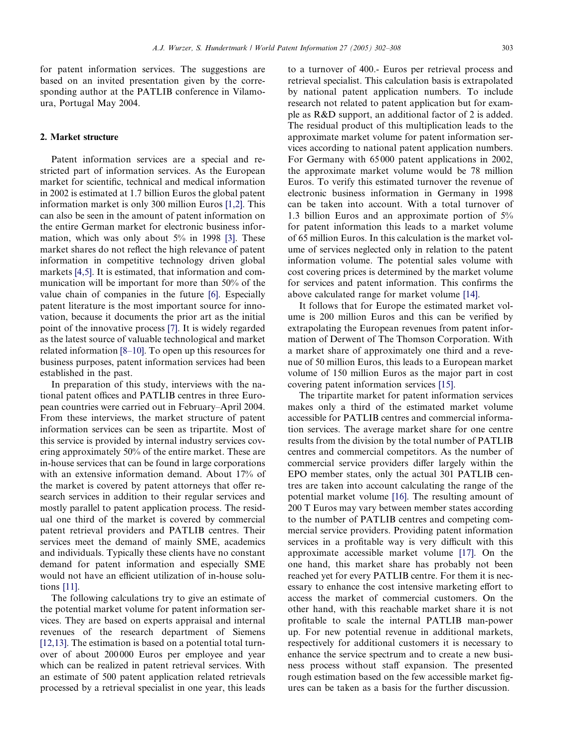for patent information services. The suggestions are based on an invited presentation given by the corresponding author at the PATLIB conference in Vilamoura, Portugal May 2004.

### 2. Market structure

Patent information services are a special and restricted part of information services. As the European market for scientific, technical and medical information in 2002 is estimated at 1.7 billion Euros the global patent information market is only 300 million Euros [\[1,2\]](#page--1-0). This can also be seen in the amount of patent information on the entire German market for electronic business information, which was only about 5% in 1998 [\[3\].](#page--1-0) These market shares do not reflect the high relevance of patent information in competitive technology driven global markets [\[4,5\]](#page--1-0). It is estimated, that information and communication will be important for more than 50% of the value chain of companies in the future [\[6\].](#page--1-0) Especially patent literature is the most important source for innovation, because it documents the prior art as the initial point of the innovative process [\[7\]](#page--1-0). It is widely regarded as the latest source of valuable technological and market related information [\[8–10\].](#page--1-0) To open up this resources for business purposes, patent information services had been established in the past.

In preparation of this study, interviews with the national patent offices and PATLIB centres in three European countries were carried out in February–April 2004. From these interviews, the market structure of patent information services can be seen as tripartite. Most of this service is provided by internal industry services covering approximately 50% of the entire market. These are in-house services that can be found in large corporations with an extensive information demand. About 17% of the market is covered by patent attorneys that offer research services in addition to their regular services and mostly parallel to patent application process. The residual one third of the market is covered by commercial patent retrieval providers and PATLIB centres. Their services meet the demand of mainly SME, academics and individuals. Typically these clients have no constant demand for patent information and especially SME would not have an efficient utilization of in-house solutions [\[11\]](#page--1-0).

The following calculations try to give an estimate of the potential market volume for patent information services. They are based on experts appraisal and internal revenues of the research department of Siemens [\[12,13\].](#page--1-0) The estimation is based on a potential total turnover of about 200 000 Euros per employee and year which can be realized in patent retrieval services. With an estimate of 500 patent application related retrievals processed by a retrieval specialist in one year, this leads

to a turnover of 400.- Euros per retrieval process and retrieval specialist. This calculation basis is extrapolated by national patent application numbers. To include research not related to patent application but for example as R&D support, an additional factor of 2 is added. The residual product of this multiplication leads to the approximate market volume for patent information services according to national patent application numbers. For Germany with 65 000 patent applications in 2002, the approximate market volume would be 78 million Euros. To verify this estimated turnover the revenue of electronic business information in Germany in 1998 can be taken into account. With a total turnover of 1.3 billion Euros and an approximate portion of 5% for patent information this leads to a market volume of 65 million Euros. In this calculation is the market volume of services neglected only in relation to the patent information volume. The potential sales volume with cost covering prices is determined by the market volume for services and patent information. This confirms the above calculated range for market volume [\[14\]](#page--1-0).

It follows that for Europe the estimated market volume is 200 million Euros and this can be verified by extrapolating the European revenues from patent information of Derwent of The Thomson Corporation. With a market share of approximately one third and a revenue of 50 million Euros, this leads to a European market volume of 150 million Euros as the major part in cost covering patent information services [\[15\]](#page--1-0).

The tripartite market for patent information services makes only a third of the estimated market volume accessible for PATLIB centres and commercial information services. The average market share for one centre results from the division by the total number of PATLIB centres and commercial competitors. As the number of commercial service providers differ largely within the EPO member states, only the actual 301 PATLIB centres are taken into account calculating the range of the potential market volume [\[16\].](#page--1-0) The resulting amount of 200 T Euros may vary between member states according to the number of PATLIB centres and competing commercial service providers. Providing patent information services in a profitable way is very difficult with this approximate accessible market volume [\[17\].](#page--1-0) On the one hand, this market share has probably not been reached yet for every PATLIB centre. For them it is necessary to enhance the cost intensive marketing effort to access the market of commercial customers. On the other hand, with this reachable market share it is not profitable to scale the internal PATLIB man-power up. For new potential revenue in additional markets, respectively for additional customers it is necessary to enhance the service spectrum and to create a new business process without staff expansion. The presented rough estimation based on the few accessible market figures can be taken as a basis for the further discussion.